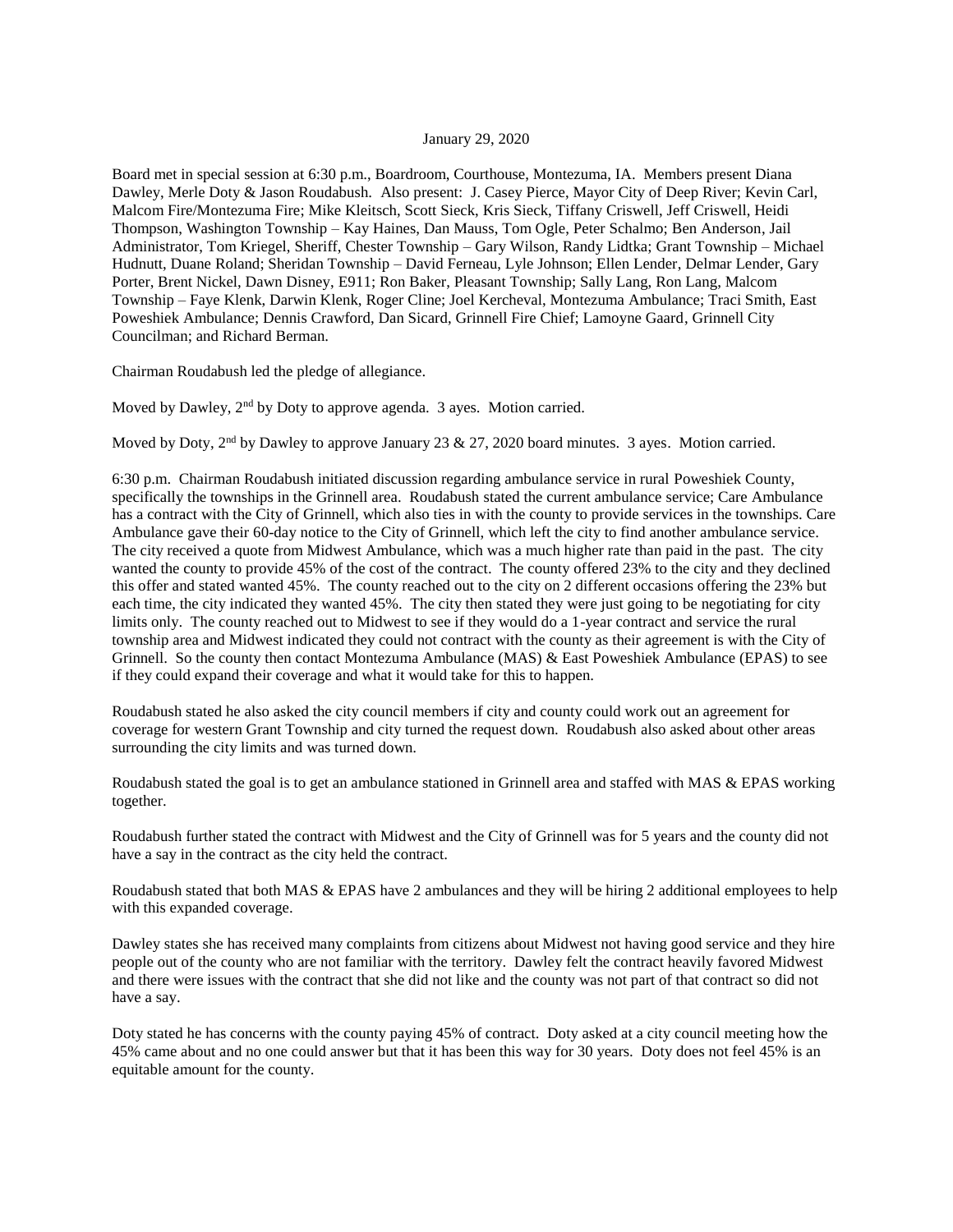## January 29, 2020

Board met in special session at 6:30 p.m., Boardroom, Courthouse, Montezuma, IA. Members present Diana Dawley, Merle Doty & Jason Roudabush. Also present: J. Casey Pierce, Mayor City of Deep River; Kevin Carl, Malcom Fire/Montezuma Fire; Mike Kleitsch, Scott Sieck, Kris Sieck, Tiffany Criswell, Jeff Criswell, Heidi Thompson, Washington Township – Kay Haines, Dan Mauss, Tom Ogle, Peter Schalmo; Ben Anderson, Jail Administrator, Tom Kriegel, Sheriff, Chester Township – Gary Wilson, Randy Lidtka; Grant Township – Michael Hudnutt, Duane Roland; Sheridan Township – David Ferneau, Lyle Johnson; Ellen Lender, Delmar Lender, Gary Porter, Brent Nickel, Dawn Disney, E911; Ron Baker, Pleasant Township; Sally Lang, Ron Lang, Malcom Township – Faye Klenk, Darwin Klenk, Roger Cline; Joel Kercheval, Montezuma Ambulance; Traci Smith, East Poweshiek Ambulance; Dennis Crawford, Dan Sicard, Grinnell Fire Chief; Lamoyne Gaard, Grinnell City Councilman; and Richard Berman.

Chairman Roudabush led the pledge of allegiance.

Moved by Dawley, 2<sup>nd</sup> by Doty to approve agenda. 3 ayes. Motion carried.

Moved by Doty,  $2<sup>nd</sup>$  by Dawley to approve January 23 & 27, 2020 board minutes. 3 ayes. Motion carried.

6:30 p.m. Chairman Roudabush initiated discussion regarding ambulance service in rural Poweshiek County, specifically the townships in the Grinnell area. Roudabush stated the current ambulance service; Care Ambulance has a contract with the City of Grinnell, which also ties in with the county to provide services in the townships. Care Ambulance gave their 60-day notice to the City of Grinnell, which left the city to find another ambulance service. The city received a quote from Midwest Ambulance, which was a much higher rate than paid in the past. The city wanted the county to provide 45% of the cost of the contract. The county offered 23% to the city and they declined this offer and stated wanted 45%. The county reached out to the city on 2 different occasions offering the 23% but each time, the city indicated they wanted 45%. The city then stated they were just going to be negotiating for city limits only. The county reached out to Midwest to see if they would do a 1-year contract and service the rural township area and Midwest indicated they could not contract with the county as their agreement is with the City of Grinnell. So the county then contact Montezuma Ambulance (MAS) & East Poweshiek Ambulance (EPAS) to see if they could expand their coverage and what it would take for this to happen.

Roudabush stated he also asked the city council members if city and county could work out an agreement for coverage for western Grant Township and city turned the request down. Roudabush also asked about other areas surrounding the city limits and was turned down.

Roudabush stated the goal is to get an ambulance stationed in Grinnell area and staffed with MAS & EPAS working together.

Roudabush further stated the contract with Midwest and the City of Grinnell was for 5 years and the county did not have a say in the contract as the city held the contract.

Roudabush stated that both MAS & EPAS have 2 ambulances and they will be hiring 2 additional employees to help with this expanded coverage.

Dawley states she has received many complaints from citizens about Midwest not having good service and they hire people out of the county who are not familiar with the territory. Dawley felt the contract heavily favored Midwest and there were issues with the contract that she did not like and the county was not part of that contract so did not have a say.

Doty stated he has concerns with the county paying 45% of contract. Doty asked at a city council meeting how the 45% came about and no one could answer but that it has been this way for 30 years. Doty does not feel 45% is an equitable amount for the county.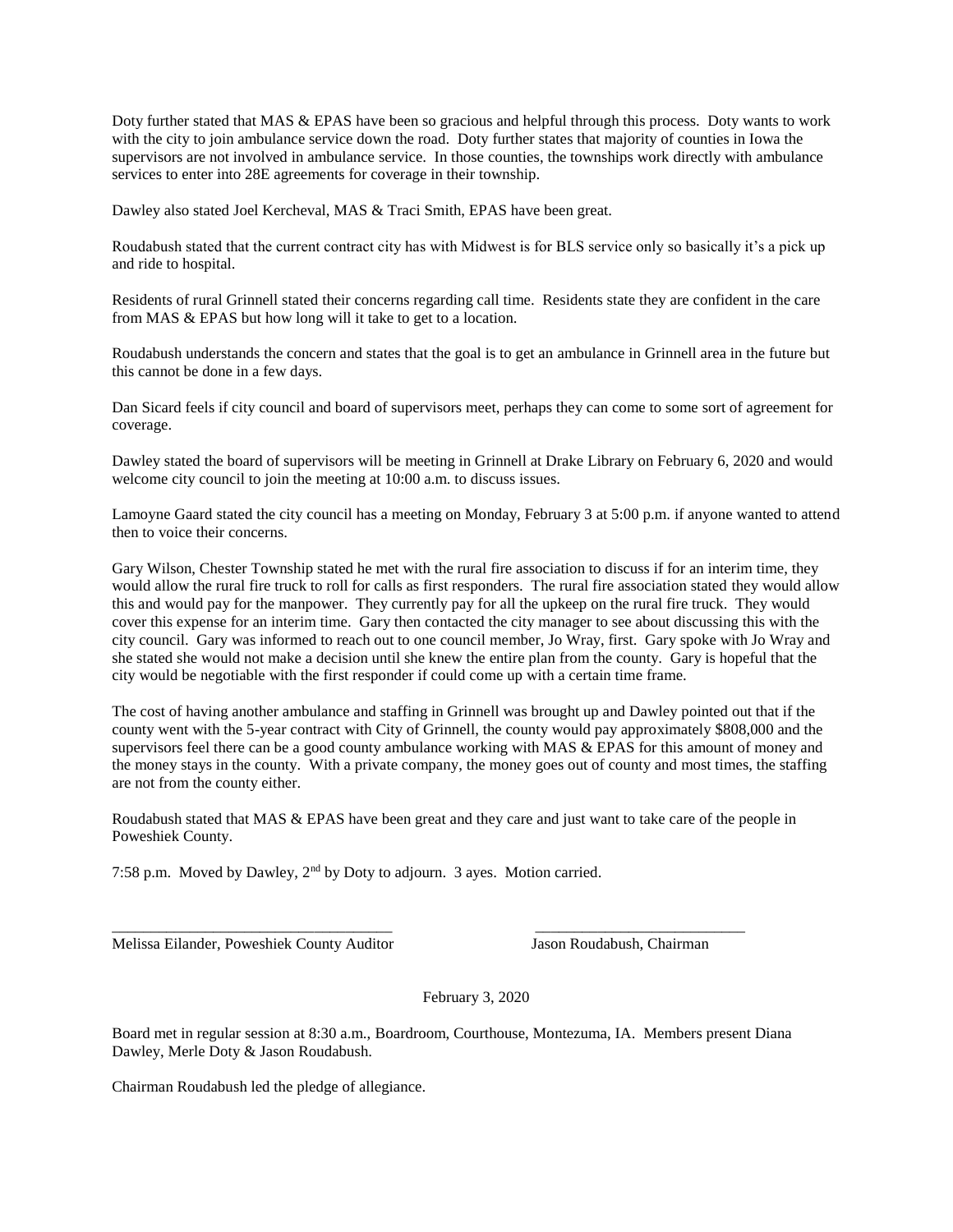Doty further stated that MAS & EPAS have been so gracious and helpful through this process. Doty wants to work with the city to join ambulance service down the road. Doty further states that majority of counties in Iowa the supervisors are not involved in ambulance service. In those counties, the townships work directly with ambulance services to enter into 28E agreements for coverage in their township.

Dawley also stated Joel Kercheval, MAS & Traci Smith, EPAS have been great.

Roudabush stated that the current contract city has with Midwest is for BLS service only so basically it's a pick up and ride to hospital.

Residents of rural Grinnell stated their concerns regarding call time. Residents state they are confident in the care from MAS & EPAS but how long will it take to get to a location.

Roudabush understands the concern and states that the goal is to get an ambulance in Grinnell area in the future but this cannot be done in a few days.

Dan Sicard feels if city council and board of supervisors meet, perhaps they can come to some sort of agreement for coverage.

Dawley stated the board of supervisors will be meeting in Grinnell at Drake Library on February 6, 2020 and would welcome city council to join the meeting at 10:00 a.m. to discuss issues.

Lamoyne Gaard stated the city council has a meeting on Monday, February 3 at 5:00 p.m. if anyone wanted to attend then to voice their concerns.

Gary Wilson, Chester Township stated he met with the rural fire association to discuss if for an interim time, they would allow the rural fire truck to roll for calls as first responders. The rural fire association stated they would allow this and would pay for the manpower. They currently pay for all the upkeep on the rural fire truck. They would cover this expense for an interim time. Gary then contacted the city manager to see about discussing this with the city council. Gary was informed to reach out to one council member, Jo Wray, first. Gary spoke with Jo Wray and she stated she would not make a decision until she knew the entire plan from the county. Gary is hopeful that the city would be negotiable with the first responder if could come up with a certain time frame.

The cost of having another ambulance and staffing in Grinnell was brought up and Dawley pointed out that if the county went with the 5-year contract with City of Grinnell, the county would pay approximately \$808,000 and the supervisors feel there can be a good county ambulance working with MAS & EPAS for this amount of money and the money stays in the county. With a private company, the money goes out of county and most times, the staffing are not from the county either.

Roudabush stated that MAS & EPAS have been great and they care and just want to take care of the people in Poweshiek County.

\_\_\_\_\_\_\_\_\_\_\_\_\_\_\_\_\_\_\_\_\_\_\_\_\_\_\_\_\_\_\_\_\_\_\_\_ \_\_\_\_\_\_\_\_\_\_\_\_\_\_\_\_\_\_\_\_\_\_\_\_\_\_\_

7:58 p.m. Moved by Dawley, 2nd by Doty to adjourn. 3 ayes. Motion carried.

Melissa Eilander, Poweshiek County Auditor Jason Roudabush, Chairman

February 3, 2020

Board met in regular session at 8:30 a.m., Boardroom, Courthouse, Montezuma, IA. Members present Diana Dawley, Merle Doty & Jason Roudabush.

Chairman Roudabush led the pledge of allegiance.